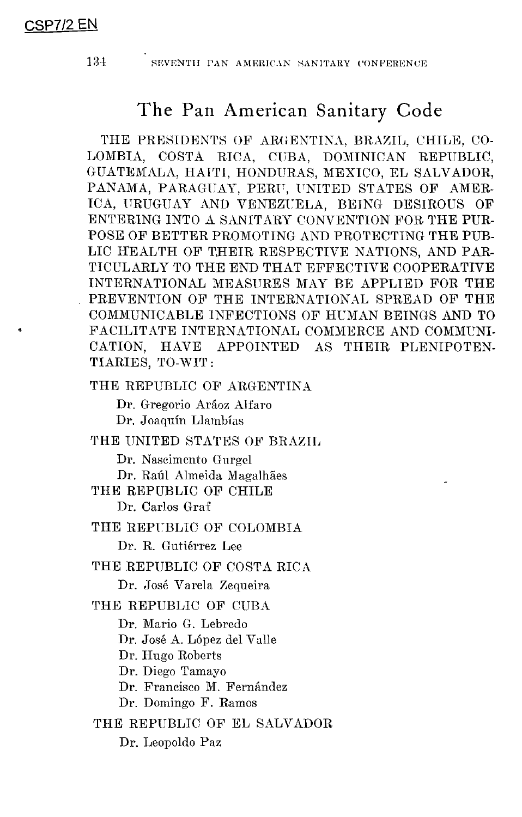## The Pan American Sanitary Code

THE PRESIDENTS OF ARGENTINA, BRAZIL, CHILE, CO-LOMBIA, COSTA RICA, CUBA, DOMINICAN REPUBLIC, GUATEMALA, HAITI, HONDURAS, MEXICO, EL SALVADOR, PANAMA, PARAGUAY, PERU, UNITED STATES OF AMER-ICA*,* URUGUAY AND VENEZUELA*,* BEING DESIROUS OF ENTERING INTO A SANITARY CONVENTION FOR THE PUR-POSE OF BETTER PROMOTING AND PROTECTING THE PUB-LIC HEALTH OF THEIR RESPECTIVE NATIONS, AND PAR-TICULARLY TO THE END THAT EFFECTIVE COOPERATIVE INTERNATIONAL MEASURES MAY BE APPLIED FOR THE PREVENTION OF THE INTERNATIONAL SPREAD OF THE COMMUNICABLE INFECTIONS OF HUMAN BEINGS AND TO FACILITATE INTERNATIONAL CO*M*MERCE AND COMMUNI-CATION, HAVE APPOINTED AS THEIR PLENIPOTEN-TIARIES, TO-WIT :

THE REPUBLIC OF ARGE*N*TINA

Dr. Gregorio Aráoz Alfaro Dr. Joaquín Llambías

THE UNITED STATES OF BRAZIL

Dr. Nascimento Gurgel Dr. Raúl Almeida Magalhães THE REPUBLIC OF CHILE Dr. Carlos Graf

THE REPUBLIC OF COLOMBIA

Dr. R. Gutiérrez Lee

THE REPUBLIC OF COSTA RICA

Dr. José Varela Zequeira

THE REPUBLIC OF CUBA

Dr. Mario G. Lebredo

Dr. José A. López del Valle

Dr. Hugo Roberts

Dr. Diego Tamayo

Dr. Francisco M. Fernández

Dr. Domingo F. Ramos

THE REPUBLIC OF EL SALVAD*O*R

Dr. Leopoldo Paz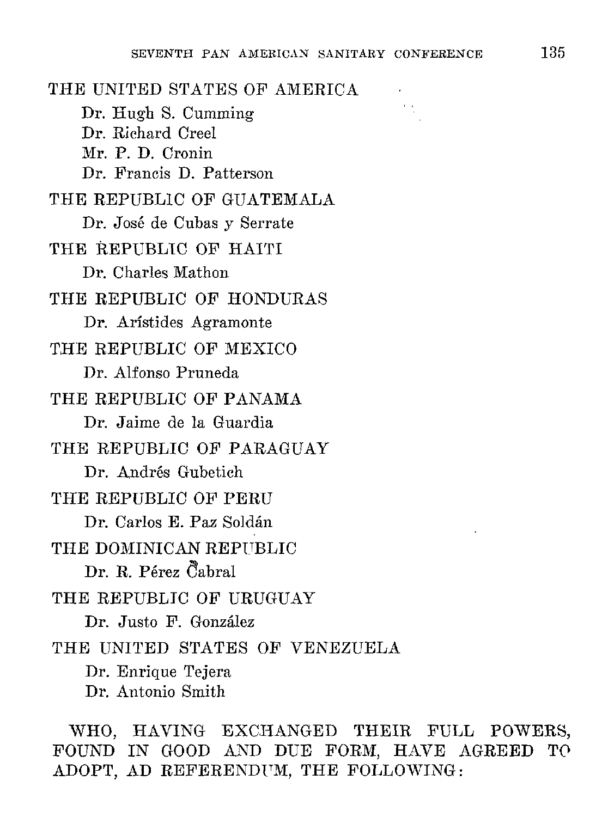THE UNITED STATES OF AMERICA Dr. Hugh S. Cumming Dr. Richard Creel *M*r. P. D. Cronin Dr. Francis D. Patterson THE REPUBLIC OF GUATE*M*ALA Dr. Jose de Cubas y Serrate THE REPUBLIC OF *H*AITI Dr. Charles Mathon THE REPUBLIC OF *H*ONDURAS Dr. Aristides Agram*o*nte THE REPUBLIC OF MEXICO Dr. Al£onso *P*runeda THE REPUBLIC OF PANA*M*A Dr. Jaime de la Guardia THE REPUBLIC OF PARAGUA*Y* Dr. Andrés Gubetich T*H*E RE*P*UBLIC *O*F *P*ERU Dr. Carlos E. Paz Soldán THE DOMINICAN REPUBLIC Dr. R. Pérez Cabral T*H*E REPUBLIC *O*F URUGUAY Dr. Justo F. González THE UNITED STATES *O*F VENEZUELA Dr. Enrique Tejera Dr. Antonio Smith

WHO*,* HAVING EXCHANGED THEIR FULL POWERS, FOUND IN GOOD AND DUE FORM*,* H&VE A*G*REED TO ADOPT*,* AD REFERENDUM*,* THE FOLLOWIN*G*: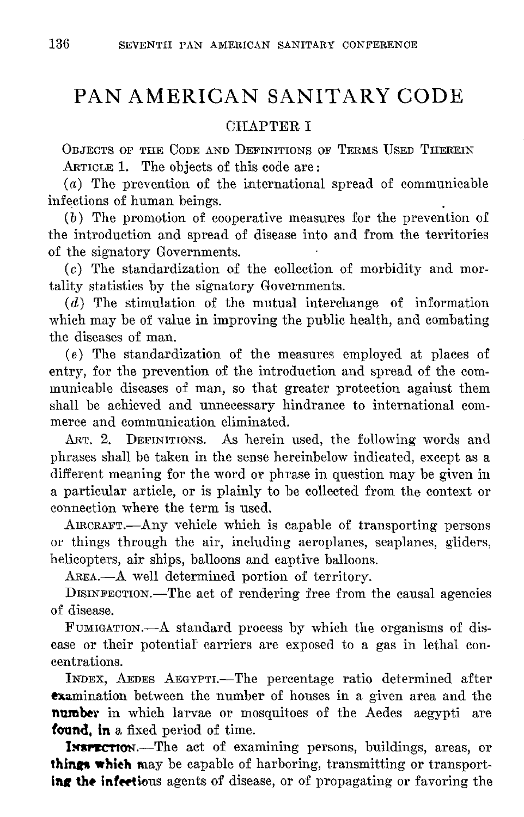# PAN AMERICAN SANITARY CODE

## CHAPTER I

OBJECTS OF THE CODE AND DEFINITIONS OF TERMS USED THEREIN ARTICLE 1. The objects of this code are:

 $(a)$  The prevention of the international spread of communicable infections of human beings.

(*b*) The promotion of cooperative measures for the prevention of the introduction and spread of disease into and from the territories of the signatory Governments.

(*c*) The standardization of the collection of morbidity and mortality statistics by the signatory Governments.

(*d*) The stimulation of the mutual interchange of information which may be of value in improving the public health, and combating the diseases of man.

(*e*) The standardization of the measures employed at places of entry, for the prevention of the introduction and spread of the communicable diseases of man*,* so that greater protection against them shall be achieved and unnecessary hindrance to international commerce and communication eliminated.

ART**.** 2**.** DEFINITIONS. As herein used, the following words and phrases shall be taken in the sense hereinbe]ow indicated*,* except as a different meaning for the word or phrase in question may be given in a particular article*,* or is plainly to be collected from the context or connection where the term is used.

AIRCRAFT.--Any vehicle which is capable of transporting persons or things through the air, including aeroplanes, seaplanes, gilders, helicopters*,* air ships, balloons and captive balloons.

AREA.---A well determined portion of territory.

DISINFECTION.-The act of rendering free from the causal agencies of disease.

FUMIGATION.---A standard process by which the organisms of disease or their potential carriers are exposed to a gas in lethal concentrations.

INDEX, AEDES AEGYPTL--The percentage ratio determined after **examination** between the number of houses in a given area and the number in which larvae or mosquitoes of the Aedes aegypti are found, in a fixed period of time.

**INSPECTION.**--The act of examining persons, buildings, areas, or things which may be capable of harboring, transmitting or transport**ing the infectious** agents of disease, or of propagating or favoring the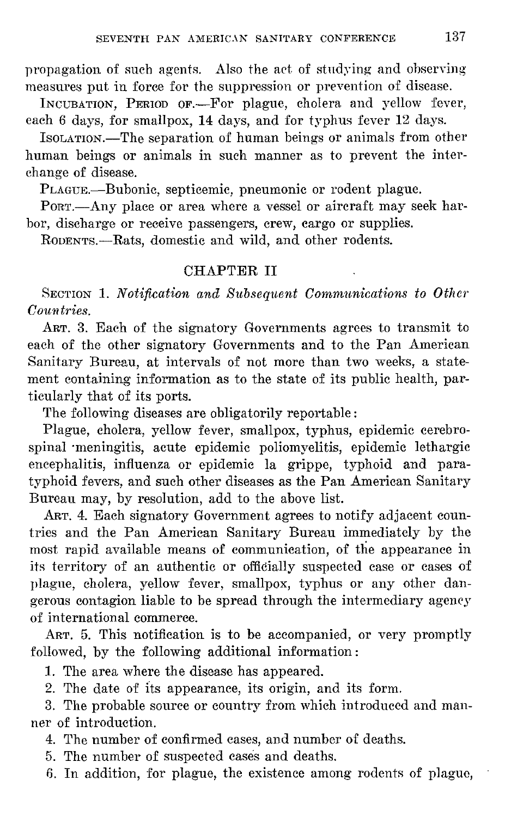propagation of such agents. Also the act of stndying and observing measures put in force for the suppression or prevention of disease.

INCUBATION, PERIOD OF.--For plague, cholera and yellow fever, each 6 days, for smallpox, 14 days, and for typhus fever 12 days.

ISOLATION.--The separation of human beings or animals from other human beings or animals in such manner as to prevent the interchange of disease.

PLAGUE.--Bubonic, septicemic, pneumonic or rodent plague.

PORT.--Any place or area where a vessel or aircraft may seek harbor*,* discharge or receive passengers, crew*,* cargo or supplies.

RODENTS.--Rats, domestic and wild, and other rodents.

#### CIIAPTER II

SECTION 1. *Notification* and *Subsequent Communications to Other Cou*n*tries*.

ART. 3. Each of the signatory Governments agrees to transmit to each of the other signatory Governments and to the Pan American Sanitary Bureau*,* at intervals of not more than two weeks, a statement containing information as to the state of its public health*,* particularly that of its ports.

The following diseases are obligatorily reportable :

Plague, cholera, yellow fever, smallpox, typhus, epidemic cerebrospinal "meningitis, acute epidemic poliomyelitis*,* epidemic lethargic encephalitis, influenza or epidemic la grippe, typhoid and paratyphoid fevers*,* and such other diseases as the Pan American Sanitary Bureau may, by resolution, add to the above list.

ART. 4. Each signatory Government agrees to notify adjacent coun*t*ries and the Pan American Sanitary Bureau immediately by the most rapid available means of communication, of the appearance in its territory of an authentic or officially suspected case or cases of plague, cholera, yellow fever, smallpox, typhus or any other dangerous contagion liable to be spread through the intermediary agenc*y* of international commerce.

AnT. 5. This notification is to be accompani*e*d, or very promptly followed, by the following additional information:

L The area where the disease has appeared.

2. The date of its appearance*,* its origin*,* and its form.

3. The probable source or country from which introduced and manner of introduction.

4. The number of confirmed cases*,* and number of deaths.

5. The number of suspected cases and deaths.

6. In addition, for plague, the existence among rodents of plague,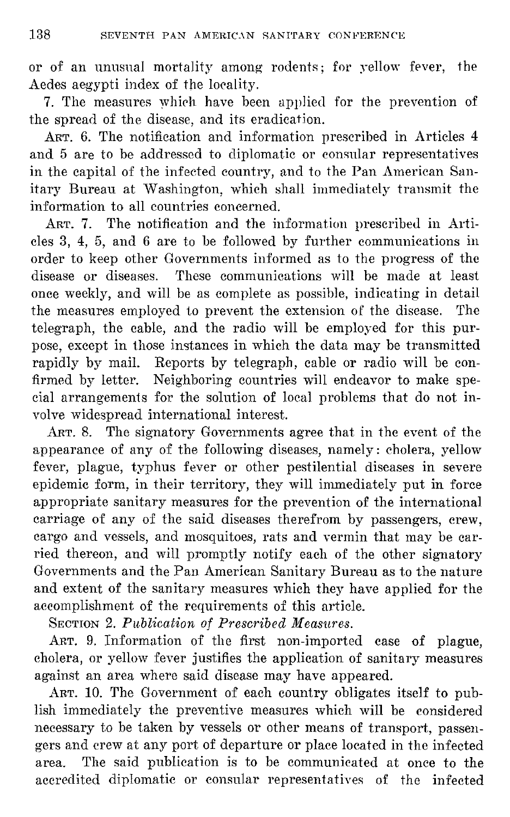or of an unusual mortality among rodents; for yellow fever, *t*he Aedes aegypti index of the locality.

7. The measures which have been applied for the prevention of the spread of the disease*,* and its eradication.

ART. 6. The notification and information prescribed in Articles 4 and 5 are to be addressed to diplomatic or consular representatives in the capital of the infected country*,* and to the Pan American Sanitary Bureau at Washington, which shall immediately transmit the information to all countries concerned.

ART. 7. The notification and the information prescribed in Articles 3*,* 4*,* 5*,* and 6 are to be followed by further communications in order to keep other Governments informed as to the progress of the disease or diseases. These communications will be made at least once weekly*,* and will be as complete as possible*,* indicating in detail the measures employed to prevent the extension of the disease. telegraph, the cable*,* and the radio will be employed for this purpose, except in those instances in which the data may be transmitted rapidly by mail. Reports by telegraph*,* cable or radio will be confirmed by letter. Neighboring countries will endeavor to make special arrangemenls for the solution of local problems that do not involve widespread international interest.

ART. 8. The signatory *G*overnments agree that in the event of the appearance of any of the following diseases*,* namely: cholera*,* yellow fever, plague, typhus fever or other pestilential diseases in severe epidemic form*,* in their territory*,* they will immediately put in force appropriate sanitary measures for the prevention of the international carriage of any of the said diseases therefrom by passengers*,* crew, cargo and vessels, and mosquitoes, rats and vermin that may be carried thereon*,* and will promptly notify each of the other signatory Governments and the Pan American Sanitary Bureau as to the nature and extent of the sanitary measures which they have applied for the accomplishment of the requirements of this article.

 $S_{\text{ECTION}}$  2. *Publication of Prescribed Measures.* 

ART. 9. Information of the first non-imported case of plague, cholera*,* or yellow fever justifies the application of sanitary measures against an area where said disease may have appeared.

ART. 10. The Government of each country obligates itself to publish immediately the preventive measures which will be considered necessary to be taken by vessels or other means of transport, passengers and crew at any port of departure or place located in the infected area. The said publication is to be communicated at once to the The said publication is to be communicated at once to the accredited diplomatic or consular representatives of the infected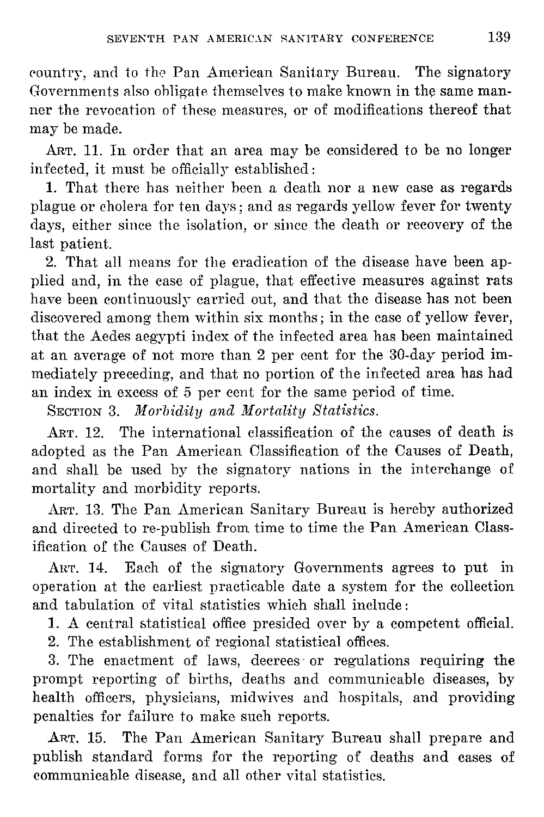country, and to the Pan American Sanitary Bureau. The signatory Governments also obligate themselves **t**o make known in the same manner the revocation of these measures*,* or of modifications thereof that may be made.

ART. 11. In order that an area may be considered to be no longer infected, it must be officially established:

1. That there has neither been a death nor a new case as regards plague or cholera for **t**en days ; and as regards yellow fever for twenty days*,* either since the isolation*,* or since the death or recovery of the last patient.

2. That all means for the eradication of the disease have been applied and*,* in the case of plague*,* that effective measures against rats have been continuously carried out, and that the disease has not been discovered among them within six months ; in the case of yellow fever, that the Aedes aegypti index of the infected area has been maintained at an average of not more than 2 per cent for the 30-day period immediately preceding, and that no portion of the infected area has had an index in excess of 5 per cent for the same period of time.

SECTION 3. *Morbidity and Mortality Statistics*.

ART. 12. The international classification of the causes of death is adopted as the Pan American Classification of the Causes of Death*,* and shall be used by the signatory nations in the interchange of mortality and morbidity reports.

ART. 13. The Pan American Sanitary Bureau is hereby authorized and directed to re-publish from time to time the Pan American Classification of the Causes of Death.

ART. 14. Each of the signatory Governments agrees to put in operation at the earliest practicable date a system for the collection and tabulation of vital statistics which shall include:

1. A central statistical office presided over by a competent official.

2. The establishment of regional statistical offices.

3. The enactment of laws, decrees or regulations requiring the prompt reporting of births*,* deaths and communicable diseases, by health officers, physicians, midwives and hospitals*,* and providing penalties for failure to make such reports.

ART. 15. The Pan American Sanitary Bureau shall prepare and publish standard forms for the reporting of deaths and cases of communicable disease*,* and all other vital statistics.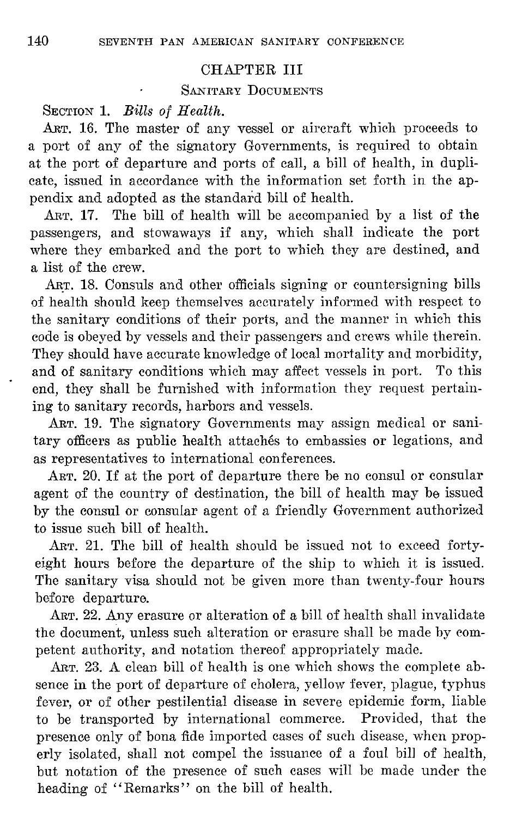#### CHAPTER III

#### SANITARY DOCUMENTS

SECTION 1. *Bills* of *Health*.

ART. 16. The master of any vessel or aircraft which proceeds to a port of any of the signatory Governments, is required to obtain at the port of departure and ports of call*,* a bill of health, in duplicate, issued in accordance with the information set forth in the appendix and adopted as the standard bill of health.

ART. 17. The bill of health will be accompanied by a list of the passengers*,* and stowaways if any, which shall indicate the port where they embarked and the port to which they are destined, and a list of the crew.

ART. 18. Consuls and other officials signing or countersigning bills of health should keep themselves accurately informed with respect to the sanitary conditions of their ports*,* and the manner in which this code is obeyed by vessels and their passengers and crews while therein. They should have accurate knowledge of local mortality and morbidity, and of sanitary conditions which may affect vessels in port. To this and of sanitary conditions which may affect vessels in port. end*,* they shall be furnished with information they request pertaining to sanitary records, harbors and vessels.

ART. 19. The signatory Governments may assign medical or sanitary officers as public health attaches to embassies or legations*,* and as representatives to international conferences.

ART. 20. If at the port of departure there be no consul or consular agent of the country of destination*,* the bill of health may be issued by the consul or consular agent of a friendly Government authorized to issue such bill of health.

ART. 21. The bill of health should be issued not to exceed fortyeight hours before the departure of the ship to which it is issued. The sanitary visa should not be given more than twenty-four hours before departure.

ART. 22. Any erasure or alteration of a bill of health shall invalidate the document*,* unless such alteration or erasure shall be made by competent authority, and notation thereof appropriately made.

ART. 23. A clean bill of health is one which shows the complete absence in the port of departure of cholera*,* yellow fever, plague, typhus fever, or of other pestilential disease in severe epidemic form, liable to be transported by international commerce. Provided*,* that the presence only of bona fide imported cases of such disease, when properly isolated*,* shall not compel the issuance of a foul bill of health*,* but notation of the presence of such cases will be made under the heading of "Remarks" on the bill of health.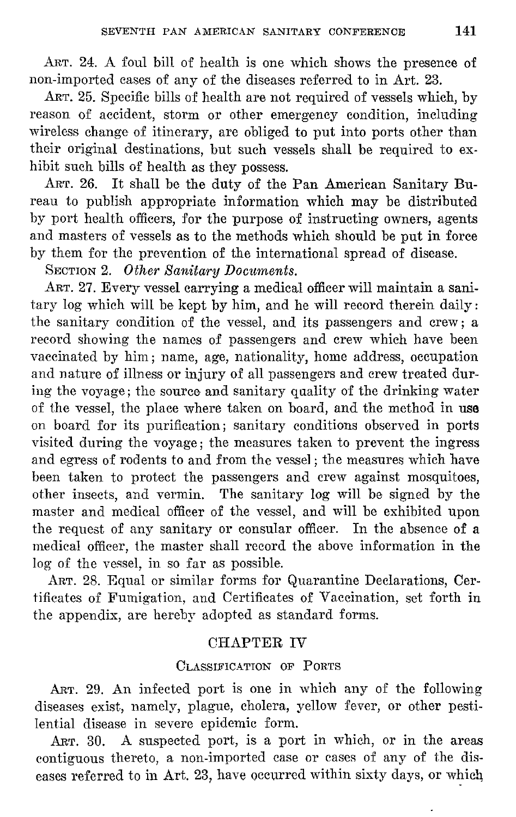ART. 24. A foul bill of health is one whic*h* shows the presence of non-imported cases of any of the diseases referred to in Art. 23.

ART. 25. Specific bills of health are not required of vessels which, by reason of accident, storm or other emergency condition*,* including wireless change of itinerary, are obliged to put into ports other than their original destinations, but such vessels shall be required to exhibit suc*h* bills of health as they possess.

ART. 26. It shall be the duty of the Pan American Sanitary Bureau to publish appropriate information which may be distributed by port health officers, for the purpose of instructing owners, agents and masters of vessels as to the methods whic*h* should be put in force by them for the prevention of the international spread of disease.

SECTION2. *Other Sanitary Documents*.

ART. 27. Every vessel carrying a medical officer will maintain a sanitary log which will be kept by him, and he will record therein daily: the sanitary condition of the vessel, and its passengers and crew; a record showing the names of passengers and crew which have been vaccinated by him; name, age, nationality, home address, occupation and nature of illness or injury of all passengers and crew treated during the voyage; the source and sanitary quality of the drinking water of the vessel, the place where taken on board*,* and the method in use on board for its purification; sanitary conditions observed in ports visited during the voyage; the measures taken to prevent the ingress and egress of rodents to and from the vessel ; the measures which have been taken to protect the passengers and crew against mosquitoes, other insects, and vermin. The sanitary log will be signed by the master and medical officer of the vessel, and will be exhibited upon the request of any sanitary or consular officer. In the absence of a medical officer, the master shall record the above information in the log of the vessel, in so far as possible.

ART. 28. Equal or similar forms for Quarantine Declarations, Certificates of Fumigation, and Certificates of Vaccination, set forth in the appendix*,* are hereby adopted as standard forms.

## CHAPTER IV

## CLASSIFICATION OF PORTS

ART. 29. An infected port is one in which any of the following diseases exist, namely, plague, cholera, yellow fever*,* or other pestilential disease in severe epidemic form.

ART. 30. A suspected port, is a port in which*,* or in the areas contiguous thereto, a non-imported case or cases of any of the diseases referred to in Art. 23*,* have occurred within sixty days*,* or which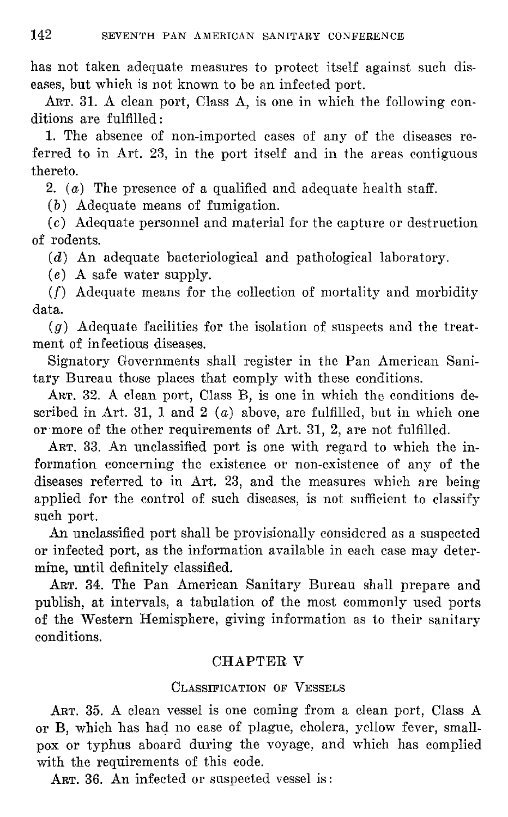has not taken adequate measures to protect itself against such diseases*,* but which is not known to be an infected port.

ART. 31. A clean port*,* Class A*,* is one in which the following conditions are fulfilled:

1. The absence of non-imported cases of any of the diseases referred to in Art. *2*3*,* in the port itself and in the areas contiguous thereto.

2. (*a*) The presence of a qualified and adequate health staff.

(*b*) Adequate means of fumigation.

(*c*) Adequate personnel and material for the capture or destruction of rodents.

(*d*) An adequate bacteriological and pathological laboratory.

(*e*) A safe water supply.

(*f*) Adequate means for the collection of mortality and morbidity data.

(*g*) Adequate facilities for the isolation of suspects and the treatment of infectious diseases.

Signatory Governments shall register in the Pan American Sanitary Bureau those places that comply with these conditions.

ART. 32. A clean port*,* Class B*,* is one in which the conditions described in Art. 31*,* 1 and 2 (*a*) abo*v*e*,* are fulfilled*,* but in which one or'more of the other requirements of Art. 31, 2*,* are not fulfilled.

ART. 33. An unclassified port is one with regard to which the information concerning the existence or non-existence of any of the diseases referred to in Art. *2*3, and the measures which are being applied for the control of such diseases*,* is not sufficient to classify such port.

An unclassified port shall be provisionally considered as a suspected or infected port, as the information available in each case may determine, until definitely classified.

AnT. 34. The Pan American Sanitary Bureau shall prepare and publish, at intervals, a tabulation of the most commonly used ports of the Western Hemisphere*,* giving information as to their sanitary conditions.

## CHAPTER V

## CLASSIFICATION OF VESSELS

ART. 35. A clean vessel is one coming from a clean port, Class A or B, which has had no ease of plague, cholera, yellow fever, smallpox or typhus aboard during the voyage*,* and which has complied with the requirements of this code.

ART. 36. An infected or suspected vessel is: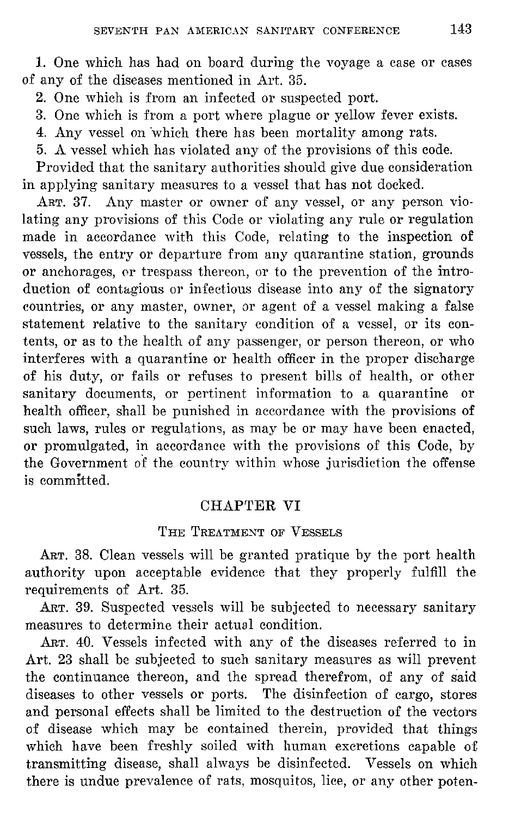1. One which has had on board during the voyage a case or cases of any of the diseases mentioned in Art. 35.

2. One which is from an infected or suspected port.

3. One which is from a port where plague or yellow fever exists.

4. Any vessel on 'which there has been mortality among rats.

5. A vessel which has violated any of the provisions of this code.

Provided that the sanitary authorities should give due consideration in applying sanitary measures to a vessel that has not docked.

ART. 37. Any master or owner of any vessel, or any person violating any provisions of this Code or violating any rule or regulation made in accordance with this Code, relating to the inspection of vessels, the entry or departure from any quarantine s*t*ation, grounds or anchorages*,* or trespass thereon*,* or to the prevention of the introduction of contagious or infectious disease into any of the signatory countries*,* or any master*,* owner, or agent of a vessel making a false statement relative to the sanitary condition of a vessel, or its contents*,* or as to the health of any passenger*,* or person thereon, or who interferes with a quarantine or health officer in the proper discharge of his duty, or fails or refuses to present bills of health*,* or other sanitary documents*,* or pertinent information to a quarantine or health officer, shall be punished in accordance with the provisions of such laws, rules or regulations, as may be or may have been enacted, or promulgated, in accordance with the provisions of this Code, by the Government of the country within whose jurisdiction the offense is comm\_¢ted.

#### CHAPTER VI

## THE TREATMENT OF VESSELS

AR*T*. 38. Clean vessels will be granted pratique by the port health authority upon acceptable evidence that they properly fulfill the requirements of Art. 35.

ART. 39. Suspected vessels will be subjected to necessary sanitary measures to determine their actual condition.

ART. 40. Vessels infected with any of the diseases referred to in Art. 23 shall be subjected to such sanitary measures as will prevent the continuance thereon, and the spread therefrom*,* of any of said diseases to other vessels or ports. The disinfecti*o*n of cargo, stores and personal effects shall be limited to the destruction of the vectors of disease which may be contained therein, provided that things which have been freshly soiled wi*t*h human excretions capable of. transmitting disease*,* shall always be disinfected. Vessels on which there is undue prevalence of rats, mosquitos*,* lice, or any other poten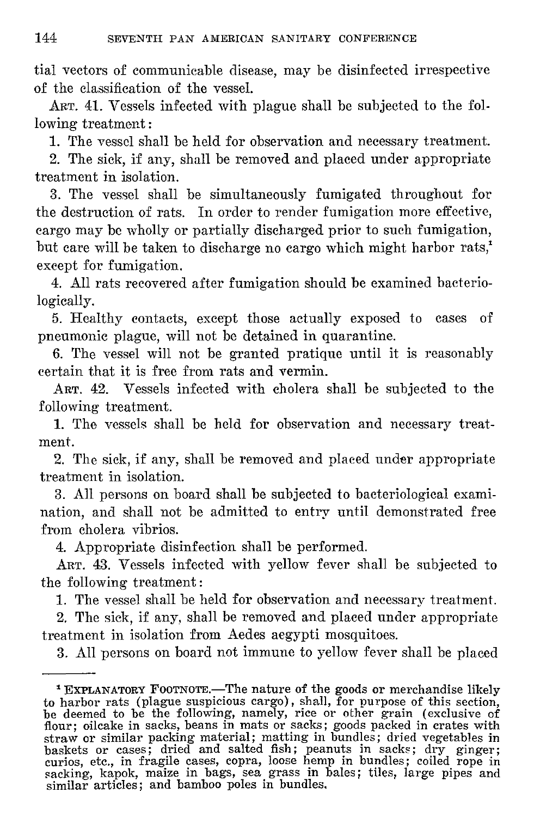tial vectors of communicable disease, may be disinfected irrespective of the classification of the vessel.

ART. 41. Vessels infected with plague shall be subjected to the following tre**a**tment **:**

1. The vessel shall be held for observation and necessary treatment.

2. T**h**e sick, if a**n**y, shall be removed and placed under appropriate treatment in isol**a**tion.

3. The vessel shall be simult**a**neously fumigated **t**hroughout for the des**t**ruc**t**io**n** of rats. In order **t**o render fumigation more effective, cargo may be wholly or partially discharged prior **t**o such fumiga**t**ion, b**u**t care will be **t**ake**n** to discharge no cargo which might harbor rats*,* 1 except for fumigatio**n**.

4. All rats recovered after fumigation should be examined bacteriologically.

5. **H**ealthy co**n**t**a**cts, except those ac**t**ually exposed to cases of pne**u**mo**n**ic plague*,* will not be de**ta**ined in quarantine.

6. The vessel will not be gra**nt**ed pratique **u**ntil it is reasonably certai**n** that it is free from rats a**n**d vermin.

ART. 42. Vessels infected with cholera shall be subjec**t**ed to the followi**n**g treatment.

1. The vessels shall be held for observation and necessary **t**reatment.

2. The sick*,* if any, shall be removed and placed under appropriate **t**reatment in isola**t**ion.

3. All persons o**n** board shall be sub**j**ected to bacteriological exami**n**ation*,* and shall **n**ot be admit**t**ed **t**o entry, until demonstra**t**ed free from cholera vibrios.

4. Approp**r**iate disinfectio**n** sh**a**h be performed.

ART. 43. Vessels i**n**fected with yellow fever shall be subjected to the following treatme**n**t :

1. The vessel shall be held for observatio**n** and necessary treatment.

2. The sick*,* if any*,* shall be remo**v**ed and placed under appropri**a**te t**r**eatment in isolation from Aedes aegypti **m**osquitoes.

3. All persons on board **n**ot immune to yellow fever shall be placed

EX**P**LANATORY FOOTNOT**E**.---Thenature of the goods or mercha**n**dise likely t**o** h**a**rbor rats (plague suspicious cargo), shall, **f**or purpose of this sect**i**on, be deemed to be the follow**i**n**g**, namely, rice or other **g**rain (exclusive of flour; oilcake i**n** sacks, beans in mats or sacks; goods packed in crates with straw or similar packin**g** mate**r**i**a**l; matting in bundles; dried ve**g**etables in baskets or c**a**ses; d**r**ied a**n**d salted fish; peanuts in sacks; dry ginger; curios, etc., **i**n fr**a**gile cases, c**o**pra*,* loose hemp in bundles; coiled rope in sacki**n**g, kapok, maize i**n** bags*,* sea grass in bales; tiles, large pipes and similar **a**rticles; and bamboo poles i**n** bundles.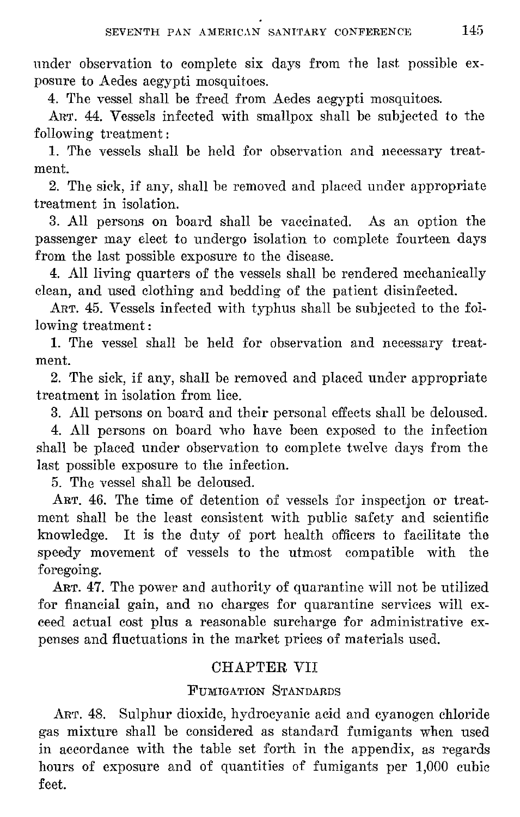under observation to complete six days from the last possible exposure to Aedes aegypti mosquitoes.

4. The vessel shall be freed from Aedes aegypti mosquitoes.

ART. 44. Vessels infected with smallpox shall be subjected to the following treatment:

1. The vessels shall be held for observation and necessary treatment.

2. The sick, if any*,* shall be removed and placed under appropriate treatment in isolation.

3. All persons on board shall be vaccinated. As an option the passenger may *e*lect to undergo isolation to complete fourteen days from the last possible exposure to the disease.

4. All living quarters of the vessels shall be rendered mechanically clean, and used clothing and bedding of the patient disinfected.

ART. 45. Vessels infected with typhus shall be subjected to the following treatment :

1. The vessel shall be held for observation and necessary treatment.

2. The sick, if any, shall be removed and placed under appropriate treatment in isolation from lice.

3. All persons on board and their personal effects shall be deloused.

4. All persons on board who have been exposed to the infection shall be placed under observation to complete twelve days from the last possible exposure to the infection.

5. The vessel shall be deloused.

ART. 46. The time of detention of vessels for inspection or treatment shall be the least consistent with public safety and scientific knowledge. It is the duty of port health officers to facilitate the speedy movement of vessels to the utmost compatible with the foregoing.

AR**T**. 47. The power and authority of quarantine will not be utilized for financial gain*,* and no charges for quarantine services will exceed actual cost plus a reasonable surcharge for administrative expenses and fluctuations in the market prices of materials used.

## CHAPTER VII

## \_UlVIIGATI*O*N STANDARDS

ART. 48. Sulphur dioxide*,* hydrocyanic acid and cyanogen chloride gas mixture shall be considered as standard fumigants when used in accordance with the table set forth in the appendix, as regards hours of exposure and of quantities of fumigants per 1*,*000 cubic feet.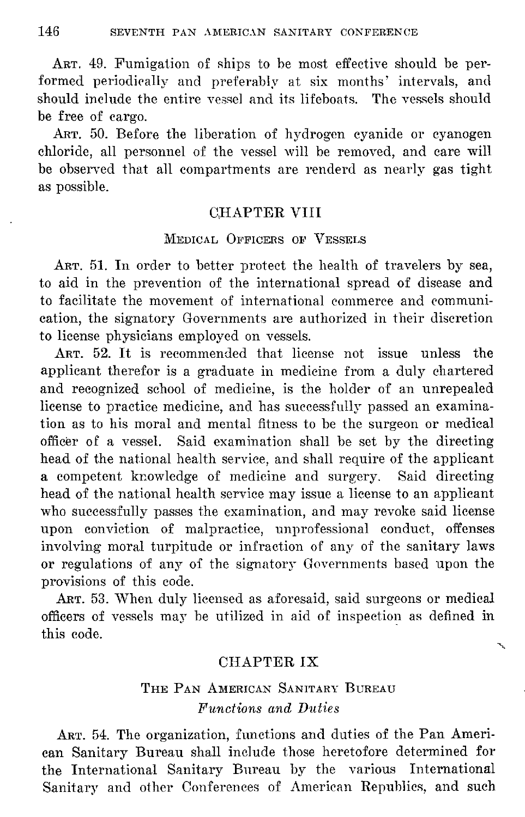ART. 49. Fumigation of ships to be most effective should be performed periodically and preferably at six months' intervals, and should include the entire vessel and its lifeboats. The vessels should be free of cargo.

ART. 50. Before the liberation of hydrogen cyanide or cyanogen chloride*,* all personnel of the vessel will be removed, and care will be observed that all compartments are renderd as nearly gas tight as possible.

## C*M*APTER VIII

#### MEDICAL OFFICERS OF VESSELS

ART. 51. In order to better protect the health of travelers by sea, to aid in the prevention of the international spread of disease and to facilitate the movement of international commerce and communication, the signatory Governments are authorized in their discretion to license physicians employed on vessels.

ART. 52. It is recommended that license not issue unless the applicant therefor is a graduate in medicine from a duly chartered and recognized school of medicine, is the holder of an unrepealed license to practice medicine, and has successfully passed an examination as to his moral and mental fi**t**ness to be the surgeon or medical officer of a vessel. Said examination shall be set by the directing head of the national health service*,* and shall require of the applicant a competent knowledge of medicine and surgery. Said directing head of the national health service may issue a license to an applicant who successfully passes the examination, and may revoke said license upon conviction of malpractice*,* unprofessional conduct, offenses involving moral turpitude or infraction of any of the sanitary laws or regulations of any of the signatory Governments based upon the provisions of this code.

ART. 53. When duly licensed as aforesaid, said surgeons or medical officers of vessels may be utilized in aid of inspection as defined in this code.

#### CHAPTER I*X*

## THE PAN AMERICAN SANITARY BUREAU *Functions and Duties*

ART**.** 54. The organization, functions and duties of the Pan American Sanitary Bureau shall include those heretofore de**t**ermined for the International Sani**t**ary Bureau hy the *v*arious International Sanitary and o*t*her Conferences of American Republics, and such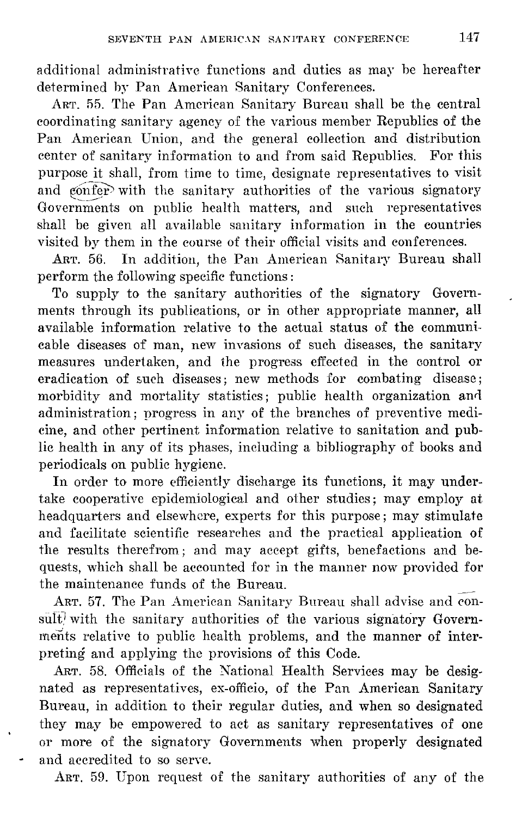additional administrative functions and duties as may be hereafter determined by Pan American Sanitary Conferences.

ART. 55. The Pan American Sanitary Bureau shall be the central coordinating sanitary agency of the various member Republics of the Pan American Union*,* and the general collection and distribution center of sanitary information to and from said Republics. For this purpose it shall*,* from time to time*,* designate representatives to visit and confer<sup>*-*</sup> with the sanitary authorities of the various signatory Governments on public health matters*,* and such representatives shall be given all available sanitary information in the countries visited by them in the course of their official visits and conferences.

ART. 56. In addition, the Pan American Sanitary Bureau shall perform the following specific functions :

To supply to the sanitary authorities of the signatory Governments through its publications*,* or in other appropriate manner*,* all available information relative to the actual status of the communicable diseases of man*,* new invasions of such diseases*,* the sanitary measures undertaken*,* and the progress effected in the control or eradication of such diseases; new methods for combating disease; morbidity and mortality statistics; public health organization and administration; progress in any of the branches of preventive medicine, and other pertinent information relative to sanitation and publie health in any of its phases*,* including a bibliography of books and periodicals on public hygiene.

In order to more efficiently discharge its functions*,* it may undertake cooperative epidemiologieal and other studies; may employ at headquarters and elsewhere*,* experts for this purpose; may stimulate and facilitate scientific researches and the practical application of the results therefrom; and may accept gifts*,* benefactions and bequests*,* which shall be accounted for in the manner now provided for the maintenance funds of the Bureau.

ART. 57. The Pan American Sanitary Bureau shall advise and consult with the sanitary authorities of the various signatory Governments relative to public health problems, and the manner of interpreting and applying the provisions of this Code.

ART. 58. Officials of the National Health Services may be designated as representatives, ex-officio*,* of the Pan American Sanitary Bureau, in addition to their regular duties*,* and when so designated they may be empowered to act as sanitary representatives of one or more of the signatory Governments when properly designated and accredited to so serve.

ART. 59. Upon request of the sanitary authorities of any of the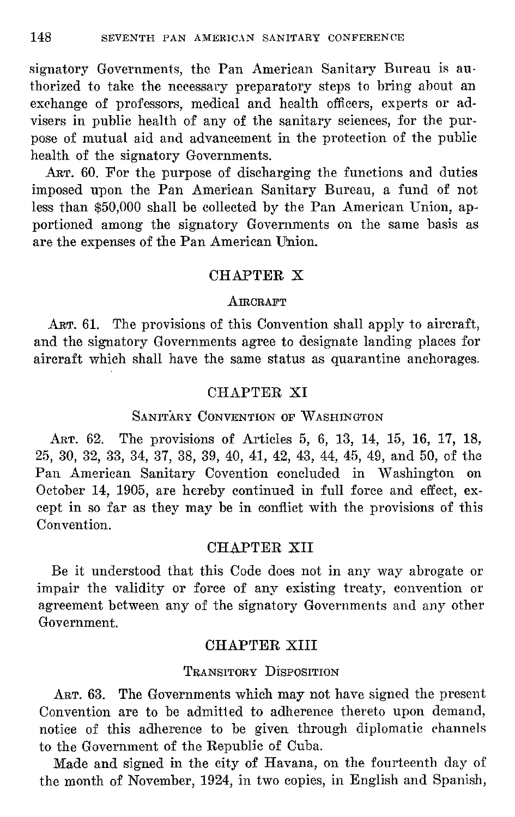signatory Governments*,* the Pan American Sanitary Bureau is authorized to take the necessat*w* preparatory steps to bring about an exchange of professors*,* medicaI and health officers, experts or advisers in public health of any of the sanitary sciences, for the purpose of mutual aid and advancement in the protection of the public health of the signatory Governments.

ART. 60. For the purpose of discharging the functions and duties imposed upon the Pan American Sanitary Bureau, a fund of not less than \$50,000 shall be collected by the Pan American Union*,* apportioned among the signatory Governments on the same basis as are the expenses of the Pan American Umion.

#### CHA**P**TER X

#### AIRCRAFT

ART. 61. The provisions of this Convention shall apply to aircraft, a**n**d the signatory Gove**r**nments agree to designate la**n**ding places for aircraft which s**h**all have the same s**t**a**t**us as quaranti**n**e anchorages.

#### CHAPTE**R** XI

#### SANITARY CONVENTION OF WASHINGTON

AnT. 62. The provisions of Articles 5*,* 6*,* 13, 14*,* 15, 16, 17, 18, 25*,* 30*,* 32*,* 33*,* 34, 37*,* 38, 39*,* 40, 41*,* 42*,* 43, 44*,* 45, 49, and 50, of the Pan American Sanitary Covention concluded in Washington on October 14*,* 1905*,* are hereby continued in full force and effect, except in so far as they may be in conflict with the provisions of this Convention.

#### CHAPTER XII

Be it understood that this Code does not in any way abrogate or impair the validity or force of any existing treaty, convention or agreement between any of the signatory Governments and any other Government.

#### CHAPTER XIII

#### TRANSITORY DISPOSI*T*ION

ART. 63. The Governments which may not have signed the present Convention are to be admitted to adherence thereto upon demand, notice of this adherence to be given through diplomatic channels to the Government of the Republic of Cuba.

Made and signed in the city of Havana, on the fourteenth day of the month of *N*ovember*,* 1924*,* in two copies, in English and Spanish*,*